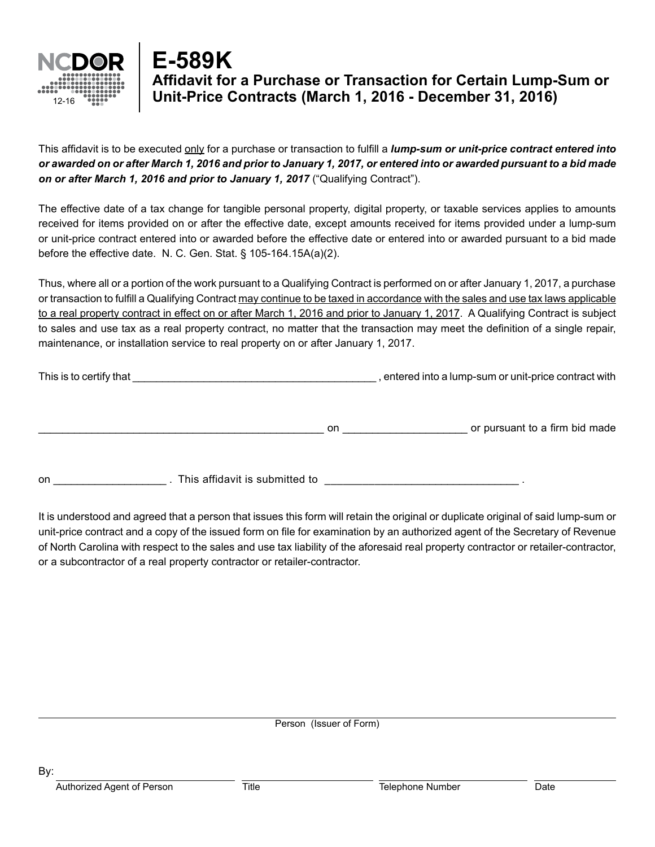

## **Affidavit for a Purchase or Transaction for Certain Lump-Sum or Unit-Price Contracts (March 1, 2016 - December 31, 2016) E-589K**

This affidavit is to be executed only for a purchase or transaction to fulfill a *lump-sum or unit-price contract entered into or awarded on or after March 1, 2016 and prior to January 1, 2017, or entered into or awarded pursuant to a bid made on or after March 1, 2016 and prior to January 1, 2017* ("Qualifying Contract").

The effective date of a tax change for tangible personal property, digital property, or taxable services applies to amounts received for items provided on or after the effective date, except amounts received for items provided under a lump-sum or unit-price contract entered into or awarded before the effective date or entered into or awarded pursuant to a bid made before the effective date. N. C. Gen. Stat. § 105-164.15A(a)(2).

Thus, where all or a portion of the work pursuant to a Qualifying Contract is performed on or after January 1, 2017, a purchase or transaction to fulfill a Qualifying Contract may continue to be taxed in accordance with the sales and use tax laws applicable to a real property contract in effect on or after March 1, 2016 and prior to January 1, 2017. A Qualifying Contract is subject to sales and use tax as a real property contract, no matter that the transaction may meet the definition of a single repair, maintenance, or installation service to real property on or after January 1, 2017.

This is to certify that **The Election Contract with**  $\alpha$  lump-sum or unit-price contract with

on example a set of pursuant to a firm bid made

on This affidavit is submitted to  $\blacksquare$ 

It is understood and agreed that a person that issues this form will retain the original or duplicate original of said lump-sum or unit-price contract and a copy of the issued form on file for examination by an authorized agent of the Secretary of Revenue of North Carolina with respect to the sales and use tax liability of the aforesaid real property contractor or retailer-contractor, or a subcontractor of a real property contractor or retailer-contractor.

Person (Issuer of Form)

By:

Authorized Agent of Person Title Title Telephone Number Date